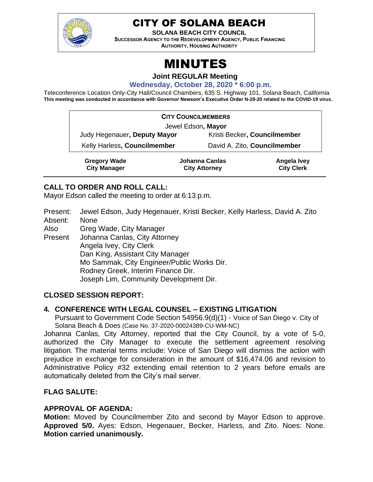

# CITY OF SOLANA BEACH

**SOLANA BEACH CITY COUNCIL SUCCESSOR AGENCY TO THE REDEVELOPMENT AGENCY, PUBLIC FINANCING AUTHORITY, HOUSING AUTHORITY** 

# MINUTES

**Joint REGULAR Meeting**

**Wednesday, October 28, 2020 \* 6:00 p.m.**

Teleconference Location Only-City Hall/Council Chambers, 635 S. Highway 101, Solana Beach, California **This meeting was conducted in accordance with Governor Newsom's Executive Order N-29-20 related to the COVID-19 virus.**

| <b>CITY COUNCILMEMBERS</b>                 |                                        |                                  |  |
|--------------------------------------------|----------------------------------------|----------------------------------|--|
| Jewel Edson, Mayor                         |                                        |                                  |  |
| Judy Hegenauer, Deputy Mayor               |                                        | Kristi Becker, Councilmember     |  |
| Kelly Harless, Councilmember               |                                        | David A. Zito, Councilmember     |  |
| <b>Gregory Wade</b><br><b>City Manager</b> | Johanna Canlas<br><b>City Attorney</b> | Angela Ivey<br><b>City Clerk</b> |  |

# **CALL TO ORDER AND ROLL CALL:**

Mayor Edson called the meeting to order at 6:13 p.m.

Present: Jewel Edson, Judy Hegenauer, Kristi Becker, Kelly Harless, David A. Zito Absent: None

Also Greg Wade, City Manager

Present Johanna Canlas, City Attorney Angela Ivey, City Clerk Dan King, Assistant City Manager Mo Sammak, City Engineer/Public Works Dir. Rodney Greek, Interim Finance Dir. Joseph Lim, Community Development Dir.

# **CLOSED SESSION REPORT:**

# **4. CONFERENCE WITH LEGAL COUNSEL – EXISTING LITIGATION**

Pursuant to Government Code Section 54956.9(d)(1) - Voice of San Diego v. City of Solana Beach & Does (Case No. 37-2020-00024389-CU-WM-NC)

Johanna Canlas, City Attorney, reported that the City Council, by a vote of 5-0, authorized the City Manager to execute the settlement agreement resolving litigation. The material terms include: Voice of San Diego will dismiss the action with prejudice in exchange for consideration in the amount of \$16,474.06 and revision to Administrative Policy #32 extending email retention to 2 years before emails are automatically deleted from the City's mail server.

# **FLAG SALUTE:**

# **APPROVAL OF AGENDA:**

**Motion:** Moved by Councilmember Zito and second by Mayor Edson to approve. **Approved 5/0.** Ayes: Edson, Hegenauer, Becker, Harless, and Zito. Noes: None. **Motion carried unanimously.**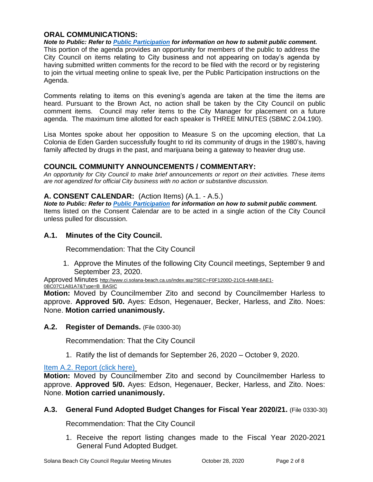# **ORAL COMMUNICATIONS:**

*Note to Public: Refer to Public Participation for information on how to submit public comment.*  This portion of the agenda provides an opportunity for members of the public to address the City Council on items relating to City business and not appearing on today's agenda by having submitted written comments for the record to be filed with the record or by registering to join the virtual meeting online to speak live, per the Public Participation instructions on the Agenda.

Comments relating to items on this evening's agenda are taken at the time the items are heard. Pursuant to the Brown Act, no action shall be taken by the City Council on public comment items. Council may refer items to the City Manager for placement on a future agenda. The maximum time allotted for each speaker is THREE MINUTES (SBMC 2.04.190).

Lisa Montes spoke about her opposition to Measure S on the upcoming election, that La Colonia de Eden Garden successfully fought to rid its community of drugs in the 1980's, having family affected by drugs in the past, and marijuana being a gateway to heavier drug use.

# **COUNCIL COMMUNITY ANNOUNCEMENTS / COMMENTARY:**

*An opportunity for City Council to make brief announcements or report on their activities. These items are not agendized for official City business with no action or substantive discussion.* 

# **A. CONSENT CALENDAR:** (Action Items) (A.1. - A.5.)

*Note to Public: Refer to Public Participation for information on how to submit public comment.*  Items listed on the Consent Calendar are to be acted in a single action of the City Council unless pulled for discussion.

# **A.1. Minutes of the City Council.**

Recommendation: That the City Council

1. Approve the Minutes of the following City Council meetings, September 9 and September 23, 2020.

Approved Minutes [http://www.ci.solana-beach.ca.us/index.asp?SEC=F0F1200D-21C6-4A88-8AE1-](http://www.ci.solana-beach.ca.us/index.asp?SEC=F0F1200D-21C6-4A88-8AE1-0BC07C1A81A7&Type=B_BASIC) [0BC07C1A81A7&Type=B\\_BASIC](http://www.ci.solana-beach.ca.us/index.asp?SEC=F0F1200D-21C6-4A88-8AE1-0BC07C1A81A7&Type=B_BASIC)

**Motion:** Moved by Councilmember Zito and second by Councilmember Harless to approve. **Approved 5/0.** Ayes: Edson, Hegenauer, Becker, Harless, and Zito. Noes: None. **Motion carried unanimously.**

#### **A.2. Register of Demands.** (File 0300-30)

Recommendation: That the City Council

1. Ratify the list of demands for September 26, 2020 – October 9, 2020.

[Item A.2. Report \(click here\)](https://solanabeach.govoffice3.com/vertical/Sites/%7B840804C2-F869-4904-9AE3-720581350CE7%7D/uploads/Item_A.2._Report_(click_here)_10-28-20_O.pdf)

**Motion:** Moved by Councilmember Zito and second by Councilmember Harless to approve. **Approved 5/0.** Ayes: Edson, Hegenauer, Becker, Harless, and Zito. Noes: None. **Motion carried unanimously.**

#### **A.3. General Fund Adopted Budget Changes for Fiscal Year 2020/21.** (File 0330-30)

Recommendation: That the City Council

1. Receive the report listing changes made to the Fiscal Year 2020-2021 General Fund Adopted Budget.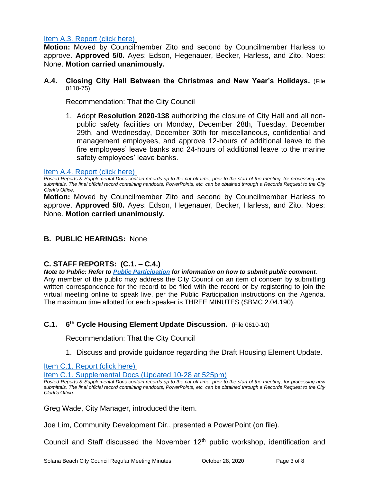# [Item A.3. Report \(click here\)](https://solanabeach.govoffice3.com/vertical/Sites/%7B840804C2-F869-4904-9AE3-720581350CE7%7D/uploads/Item_A.3._Report_(click_here)_10-28-20_O.pdf)

**Motion:** Moved by Councilmember Zito and second by Councilmember Harless to approve. **Approved 5/0.** Ayes: Edson, Hegenauer, Becker, Harless, and Zito. Noes: None. **Motion carried unanimously.**

#### **A.4. Closing City Hall Between the Christmas and New Year's Holidays.** (File 0110-75)

Recommendation: That the City Council

1. Adopt **Resolution 2020-138** authorizing the closure of City Hall and all nonpublic safety facilities on Monday, December 28th, Tuesday, December 29th, and Wednesday, December 30th for miscellaneous, confidential and management employees, and approve 12-hours of additional leave to the fire employees' leave banks and 24-hours of additional leave to the marine safety employees' leave banks.

#### [Item A.4. Report \(click here\)](https://solanabeach.govoffice3.com/vertical/Sites/%7B840804C2-F869-4904-9AE3-720581350CE7%7D/uploads/Item_A.4._Report_(click_here)_10-28-20_O.pdf)

*Posted Reports & Supplemental Docs contain records up to the cut off time, prior to the start of the meeting, for processing new submittals. The final official record containing handouts, PowerPoints, etc. can be obtained through a Records Request to the City Clerk's Office.*

**Motion:** Moved by Councilmember Zito and second by Councilmember Harless to approve. **Approved 5/0.** Ayes: Edson, Hegenauer, Becker, Harless, and Zito. Noes: None. **Motion carried unanimously.**

#### **B. PUBLIC HEARINGS:** None

# **C. STAFF REPORTS: (C.1. – C.4.)**

*Note to Public: Refer to Public Participation for information on how to submit public comment.*  Any member of the public may address the City Council on an item of concern by submitting written correspondence for the record to be filed with the record or by registering to join the virtual meeting online to speak live, per the Public Participation instructions on the Agenda. The maximum time allotted for each speaker is THREE MINUTES (SBMC 2.04.190).

# **C.1. 6 th Cycle Housing Element Update Discussion.** (File 0610-10)

Recommendation: That the City Council

1. Discuss and provide guidance regarding the Draft Housing Element Update.

[Item C.1. Report \(click here\)](https://www.dropbox.com/sh/zcv06if5pomosvz/AADQ4stjKgWCQ6ND4lkfVJ04a?dl=0)

Item C.1. Supplemental [Docs \(Updated 10-28 at 525pm\)](https://solanabeach.govoffice3.com/vertical/Sites/%7B840804C2-F869-4904-9AE3-720581350CE7%7D/uploads/Item_C.1._Supplemental_Docs_(Updated_10-28_at_445pm)_-_R.pdf)

*Posted Reports & Supplemental Docs contain records up to the cut off time, prior to the start of the meeting, for processing new submittals. The final official record containing handouts, PowerPoints, etc. can be obtained through a Records Request to the City Clerk's Office.*

Greg Wade, City Manager, introduced the item.

Joe Lim, Community Development Dir., presented a PowerPoint (on file).

Council and Staff discussed the November 12<sup>th</sup> public workshop, identification and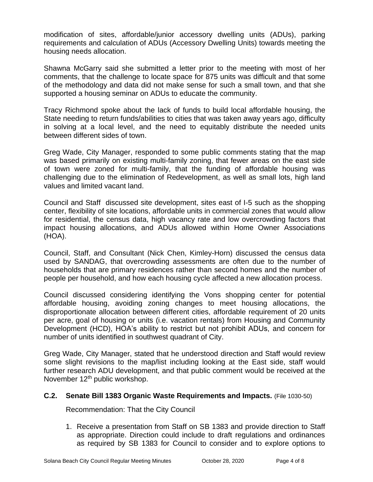modification of sites, affordable/junior accessory dwelling units (ADUs), parking requirements and calculation of ADUs (Accessory Dwelling Units) towards meeting the housing needs allocation.

Shawna McGarry said she submitted a letter prior to the meeting with most of her comments, that the challenge to locate space for 875 units was difficult and that some of the methodology and data did not make sense for such a small town, and that she supported a housing seminar on ADUs to educate the community.

Tracy Richmond spoke about the lack of funds to build local affordable housing, the State needing to return funds/abilities to cities that was taken away years ago, difficulty in solving at a local level, and the need to equitably distribute the needed units between different sides of town.

Greg Wade, City Manager, responded to some public comments stating that the map was based primarily on existing multi-family zoning, that fewer areas on the east side of town were zoned for multi-family, that the funding of affordable housing was challenging due to the elimination of Redevelopment, as well as small lots, high land values and limited vacant land.

Council and Staff discussed site development, sites east of I-5 such as the shopping center, flexibility of site locations, affordable units in commercial zones that would allow for residential, the census data, high vacancy rate and low overcrowding factors that impact housing allocations, and ADUs allowed within Home Owner Associations (HOA).

Council, Staff, and Consultant (Nick Chen, Kimley-Horn) discussed the census data used by SANDAG, that overcrowding assessments are often due to the number of households that are primary residences rather than second homes and the number of people per household, and how each housing cycle affected a new allocation process.

Council discussed considering identifying the Vons shopping center for potential affordable housing, avoiding zoning changes to meet housing allocations, the disproportionate allocation between different cities, affordable requirement of 20 units per acre, goal of housing or units (i.e. vacation rentals) from Housing and Community Development (HCD), HOA's ability to restrict but not prohibit ADUs, and concern for number of units identified in southwest quadrant of City.

Greg Wade, City Manager, stated that he understood direction and Staff would review some slight revisions to the map/list including looking at the East side, staff would further research ADU development, and that public comment would be received at the November 12<sup>th</sup> public workshop.

# **C.2. Senate Bill 1383 Organic Waste Requirements and Impacts.** (File 1030-50)

Recommendation: That the City Council

1. Receive a presentation from Staff on SB 1383 and provide direction to Staff as appropriate. Direction could include to draft regulations and ordinances as required by SB 1383 for Council to consider and to explore options to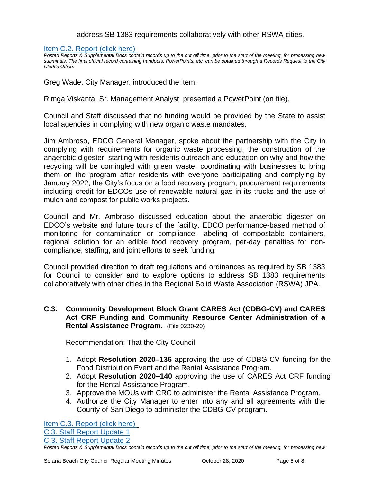# address SB 1383 requirements collaboratively with other RSWA cities.

[Item C.2. Report](https://solanabeach.govoffice3.com/vertical/Sites/%7B840804C2-F869-4904-9AE3-720581350CE7%7D/uploads/Item_C.2._Report_(click_here)_10-28-20_O.pdf) (click here)

*Posted Reports & Supplemental Docs contain records up to the cut off time, prior to the start of the meeting, for processing new submittals. The final official record containing handouts, PowerPoints, etc. can be obtained through a Records Request to the City Clerk's Office.*

Greg Wade, City Manager, introduced the item.

Rimga Viskanta, Sr. Management Analyst, presented a PowerPoint (on file).

Council and Staff discussed that no funding would be provided by the State to assist local agencies in complying with new organic waste mandates.

Jim Ambroso, EDCO General Manager, spoke about the partnership with the City in complying with requirements for organic waste processing, the construction of the anaerobic digester, starting with residents outreach and education on why and how the recycling will be comingled with green waste, coordinating with businesses to bring them on the program after residents with everyone participating and complying by January 2022, the City's focus on a food recovery program, procurement requirements including credit for EDCOs use of renewable natural gas in its trucks and the use of mulch and compost for public works projects.

Council and Mr. Ambroso discussed education about the anaerobic digester on EDCO's website and future tours of the facility, EDCO performance-based method of monitoring for contamination or compliance, labeling of compostable containers, regional solution for an edible food recovery program, per-day penalties for noncompliance, staffing, and joint efforts to seek funding.

Council provided direction to draft regulations and ordinances as required by SB 1383 for Council to consider and to explore options to address SB 1383 requirements collaboratively with other cities in the Regional Solid Waste Association (RSWA) JPA.

# **C.3. Community Development Block Grant CARES Act (CDBG-CV) and CARES Act CRF Funding and Community Resource Center Administration of a Rental Assistance Program.** (File 0230-20)

Recommendation: That the City Council

- 1. Adopt **Resolution 2020–136** approving the use of CDBG-CV funding for the Food Distribution Event and the Rental Assistance Program.
- 2. Adopt **Resolution 2020–140** approving the use of CARES Act CRF funding for the Rental Assistance Program.
- 3. Approve the MOUs with CRC to administer the Rental Assistance Program.
- 4. Authorize the City Manager to enter into any and all agreements with the County of San Diego to administer the CDBG-CV program.

[Item C.3. Report \(click here\)](https://solanabeach.govoffice3.com/vertical/Sites/%7B840804C2-F869-4904-9AE3-720581350CE7%7D/uploads/Item_C.3._Report_(click_here)_10-28-20_O.pdf)  [C.3. Staff Report Update 1](https://solanabeach.govoffice3.com/vertical/Sites/%7B840804C2-F869-4904-9AE3-720581350CE7%7D/uploads/C.3._Staff_Report_Update_1_-_O.pdf) [C.3. Staff Report Update 2](https://solanabeach.govoffice3.com/vertical/Sites/%7B840804C2-F869-4904-9AE3-720581350CE7%7D/uploads/C.3._Staff_Report_Update_2_-_O.pdf) *Posted Reports & Supplemental Docs contain records up to the cut off time, prior to the start of the meeting, for processing new*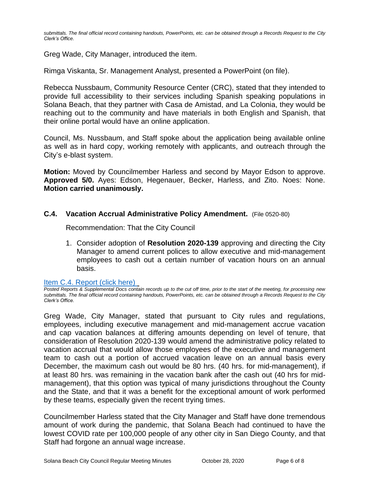*submittals. The final official record containing handouts, PowerPoints, etc. can be obtained through a Records Request to the City Clerk's Office.*

Greg Wade, City Manager, introduced the item.

Rimga Viskanta, Sr. Management Analyst, presented a PowerPoint (on file).

Rebecca Nussbaum, Community Resource Center (CRC), stated that they intended to provide full accessibility to their services including Spanish speaking populations in Solana Beach, that they partner with Casa de Amistad, and La Colonia, they would be reaching out to the community and have materials in both English and Spanish, that their online portal would have an online application.

Council, Ms. Nussbaum, and Staff spoke about the application being available online as well as in hard copy, working remotely with applicants, and outreach through the City's e-blast system.

**Motion:** Moved by Councilmember Harless and second by Mayor Edson to approve. **Approved 5/0.** Ayes: Edson, Hegenauer, Becker, Harless, and Zito. Noes: None. **Motion carried unanimously.**

# **C.4. Vacation Accrual Administrative Policy Amendment.** (File 0520-80)

Recommendation: That the City Council

1. Consider adoption of **Resolution 2020-139** approving and directing the City Manager to amend current polices to allow executive and mid-management employees to cash out a certain number of vacation hours on an annual basis.

#### [Item C.4. Report \(click here\)](https://solanabeach.govoffice3.com/vertical/Sites/%7B840804C2-F869-4904-9AE3-720581350CE7%7D/uploads/Item_C.4._Report_(click_here)_10-28-20_O.pdf)

*Posted Reports & Supplemental Docs contain records up to the cut off time, prior to the start of the meeting, for processing new submittals. The final official record containing handouts, PowerPoints, etc. can be obtained through a Records Request to the City Clerk's Office.*

Greg Wade, City Manager, stated that pursuant to City rules and regulations, employees, including executive management and mid-management accrue vacation and cap vacation balances at differing amounts depending on level of tenure, that consideration of Resolution 2020-139 would amend the administrative policy related to vacation accrual that would allow those employees of the executive and management team to cash out a portion of accrued vacation leave on an annual basis every December, the maximum cash out would be 80 hrs. (40 hrs. for mid-management), if at least 80 hrs. was remaining in the vacation bank after the cash out (40 hrs for midmanagement), that this option was typical of many jurisdictions throughout the County and the State, and that it was a benefit for the exceptional amount of work performed by these teams, especially given the recent trying times.

Councilmember Harless stated that the City Manager and Staff have done tremendous amount of work during the pandemic, that Solana Beach had continued to have the lowest COVID rate per 100,000 people of any other city in San Diego County, and that Staff had forgone an annual wage increase.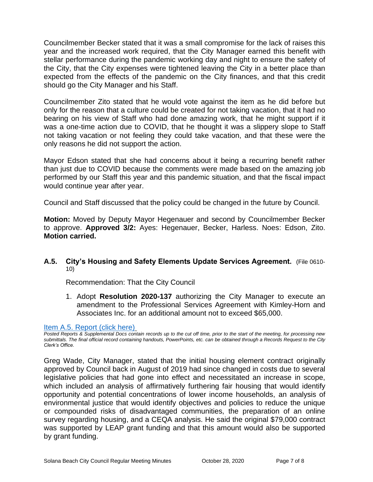Councilmember Becker stated that it was a small compromise for the lack of raises this year and the increased work required, that the City Manager earned this benefit with stellar performance during the pandemic working day and night to ensure the safety of the City, that the City expenses were tightened leaving the City in a better place than expected from the effects of the pandemic on the City finances, and that this credit should go the City Manager and his Staff.

Councilmember Zito stated that he would vote against the item as he did before but only for the reason that a culture could be created for not taking vacation, that it had no bearing on his view of Staff who had done amazing work, that he might support if it was a one-time action due to COVID, that he thought it was a slippery slope to Staff not taking vacation or not feeling they could take vacation, and that these were the only reasons he did not support the action.

Mayor Edson stated that she had concerns about it being a recurring benefit rather than just due to COVID because the comments were made based on the amazing job performed by our Staff this year and this pandemic situation, and that the fiscal impact would continue year after year.

Council and Staff discussed that the policy could be changed in the future by Council.

**Motion:** Moved by Deputy Mayor Hegenauer and second by Councilmember Becker to approve. **Approved 3/2:** Ayes: Hegenauer, Becker, Harless. Noes: Edson, Zito. **Motion carried.**

# **A.5. City's Housing and Safety Elements Update Services Agreement.** (File 0610- 10)

Recommendation: That the City Council

1. Adopt **Resolution 2020-137** authorizing the City Manager to execute an amendment to the Professional Services Agreement with Kimley-Horn and Associates Inc. for an additional amount not to exceed \$65,000.

#### [Item A.5. Report](https://solanabeach.govoffice3.com/vertical/Sites/%7B840804C2-F869-4904-9AE3-720581350CE7%7D/uploads/Item_A.5._Report_(click_here)_10-28-20_-_O.pdf) (click here)

Greg Wade, City Manager, stated that the initial housing element contract originally approved by Council back in August of 2019 had since changed in costs due to several legislative policies that had gone into effect and necessitated an increase in scope, which included an analysis of affirmatively furthering fair housing that would identify opportunity and potential concentrations of lower income households, an analysis of environmental justice that would identify objectives and policies to reduce the unique or compounded risks of disadvantaged communities, the preparation of an online survey regarding housing, and a CEQA analysis. He said the original \$79,000 contract was supported by LEAP grant funding and that this amount would also be supported by grant funding.

*Posted Reports & Supplemental Docs contain records up to the cut off time, prior to the start of the meeting, for processing new submittals. The final official record containing handouts, PowerPoints, etc. can be obtained through a Records Request to the City Clerk's Office.*